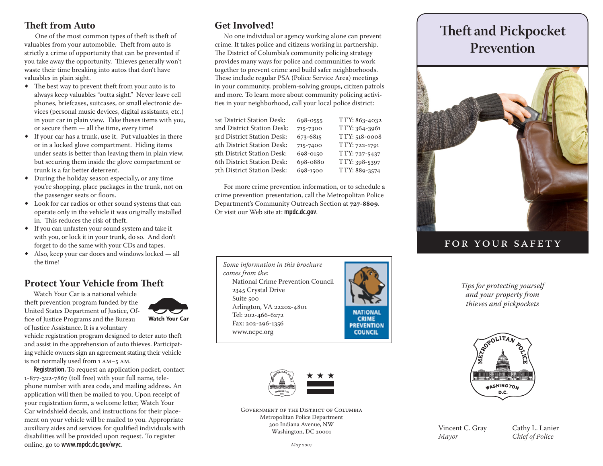#### **Theft from Auto**

 One of the most common types of theft is theft of valuables from your automobile. Theft from auto is strictly a crime of opportunity that can be prevented if you take away the opportunity. Thieves generally won't waste their time breaking into autos that don't have valuables in plain sight.

- The best way to prevent theft from your auto is to always keep valuables "outta sight." Never leave cell phones, briefcases, suitcases, or small electronic devices (personal music devices, digital assistants, etc.) in your car in plain view. Take theses items with you, or secure them — all the time, every time!
- If your car has a trunk, use it. Put valuables in there or in a locked glove compartment. Hiding items under seats is better than leaving them in plain view, but securing them inside the glove compartment or trunk is a far better deterrent.
- During the holiday season especially, or any time you're shopping, place packages in the trunk, not on the passenger seats or floors.
- Look for car radios or other sound systems that can operate only in the vehicle it was originally installed in. This reduces the risk of theft.
- If you can unfasten your sound system and take it with you, or lock it in your trunk, do so. And don't forget to do the same with your CDs and tapes.
- Also, keep your car doors and windows locked all the time!

### **Protect Your Vehicle from Theft**

Watch Your Car is a national vehicle theft prevention program funded by the United States Department of Justice, Office of Justice Programs and the Bureau of Justice Assistance. It is a voluntary



vehicle registration program designed to deter auto theft and assist in the apprehension of auto thieves. Participating vehicle owners sign an agreement stating their vehicle is not normally used from 1 am–5 am.

**Registration.** To request an application packet, contact 1-877-322-7867 (toll free) with your full name, telephone number with area code, and mailing address. An application will then be mailed to you. Upon receipt of your registration form, a welcome letter, Watch Your Car windshield decals, and instructions for their placement on your vehicle will be mailed to you. Appropriate auxiliary aides and services for qualified individuals with disabilities will be provided upon request. To register online, go to **www.mpdc.dc.gov/wyc**.

### **Get Involved!**

No one individual or agency working alone can prevent crime. It takes police and citizens working in partnership. The District of Columbia's community policing strategy provides many ways for police and communities to work together to prevent crime and build safer neighborhoods. These include regular PSA (Police Service Area) meetings in your community, problem-solving groups, citizen patrols and more. To learn more about community policing activities in your neighborhood, call your local police district:

| 1st District Station Desk: | 698-0555 | TTY: 863-4032 |
|----------------------------|----------|---------------|
| 2nd District Station Desk: | 715-7300 | TTY: 364-3961 |
| 3rd District Station Desk: | 673-6815 | TTY: 518-0008 |
| 4th District Station Desk: | 715-7400 | TTY: 722-1791 |
| 5th District Station Desk: | 698-0150 | TTY: 727-5437 |
| 6th District Station Desk: | 698-0880 | TTY: 398-5397 |
| 7th District Station Desk: | 698-1500 | TTY: 889-3574 |
|                            |          |               |

For more crime prevention information, or to schedule a crime prevention presentation, call the Metropolitan Police Department's Community Outreach Section at **727-8809**. Or visit our Web site at: **mpdc.dc.gov**.





**COUNCIL** 



Government of the District of Columbia Metropolitan Police Department 300 Indiana Avenue, NW Washington, DC 20001

# **Theft and Pickpocket Prevention**



### for your safet y

*Tips for protecting yourself and your property from thieves and pickpockets*



Vincent C. Gray Cathy L. Lanier *Mayor Chief of Police*

*May 2007*